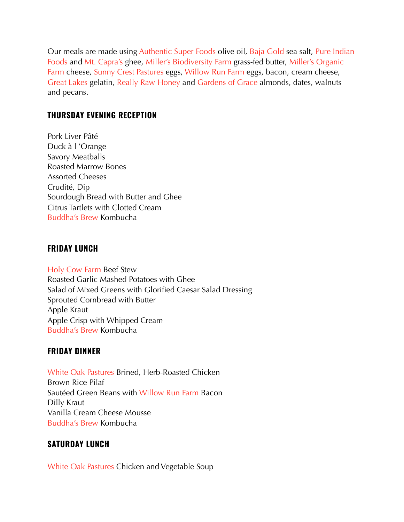Our meals are made using [Authentic Super Foods](https://www.authenticsuperfoods.com/#/) olive oil, [Baja Gold](https://bajagoldseasalt.com/?v=7516fd43adaa) sea salt, [Pure Indian](https://www.pureindianfoods.com/)  [Foods](https://www.pureindianfoods.com/) and [Mt. Capra's](https://mtcapra.com) ghee, [Miller's Biodiversity Farm](https://amishbiofarm.com/) grass-fed butter, [Miller's Organic](https://www.millersorganicfarm.com)  [Farm](https://www.millersorganicfarm.com) cheese, [Sunny Crest Pastures](http://www.sunnycrestpastures.com) eggs, [Willow Run Farm](http://www.willowrunfarmpa.com) eggs, bacon, cream cheese, [Great Lakes](http://www.apple.com) gelatin, [Really Raw Honey](https://www.reallyrawhoney.com) and [Gardens of Grace](https://shop.josheweasgarden.com) almonds, dates, walnuts and pecans.

## **THURSDAY EVENING RECEPTION**

Pork Liver Pâté Duck à l 'Orange Savory Meatballs Roasted Marrow Bones Assorted Cheeses Crudité, Dip Sourdough Bread with Butter and Ghee Citrus Tartlets with Clotted Cream [Buddha's Brew](https://www.buddhasbrew.com) Kombucha

### **FRIDAY LUNCH**

[Holy Cow Farm](http://www.holycowfarmfresh.com) Beef Stew Roasted Garlic Mashed Potatoes with Ghee Salad of Mixed Greens with Glorified Caesar Salad Dressing Sprouted Cornbread with Butter Apple Kraut Apple Crisp with Whipped Cream [Buddha's Brew](https://www.buddhasbrew.com) Kombucha

### **FRIDAY DINNER**

[White Oak Pastures](https://www.whiteoakpastures.com/) Brined, Herb-Roasted Chicken Brown Rice Pilaf Sautéed Green Beans with [Willow Run Farm](https://www.willowrunfarmpa.com/) Bacon Dilly Kraut Vanilla Cream Cheese Mousse [Buddha's Brew](https://www.buddhasbrew.com) Kombucha

### **SATURDAY LUNCH**

[White Oak Pastures](https://www.whiteoakpastures.com/) Chicken and Vegetable Soup